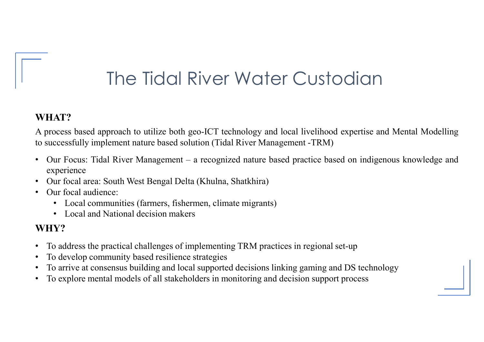# The Tidal River Water Custodian

#### WHAT?

The Tidal River Water Custodian<br>
WHAT?<br>
A process based approach to utilize both geo-ICT technology and local livelihood expertise and Mental Modelling<br>
(A process: Tidal River Management – a recognized nature based practi

- The Tidal River Water Custodian<br>
WHAT?<br>
A process based approach to utilize both geo-ICT technology and local livelihood expertise and Mental Modelling<br>
 Our Focus: Tidal River Management a recognized nature based pract experience • Our focal area: South West Bengal Delta (Kiver Water Custoclical Delta (Khulma, Shatkhira)<br>
• Our Focus Tidal River Management – a recognized nature based practice based on indigenous knowler<br>
• Our focus: Tidal River Ma **WHAT?**<br>
A process based approach to utilize both geo-ICT technology and local livelihood expertise and Mental Modelling<br>
to successfully implement nature based solution (Tidal River Management -TRM)<br>
• Our Focus: Tidal Ri WHAT?<br>
A process based approach to utilize both geo-ICT technology and local livelihood expertise at<br>
to successfully implement nature based solution (Tidal River Management -TRM)<br>
• Our Focus: Tidal River Management – a r • To arrive at consensus building and local River Management -TRM)<br>
• Our Focus: Tidal River Management – a recognized nature based practice based on indigenous knowledge and<br>
• Our Focus: Tidal River Management – a recogn A process based approach to utinze both goo-ICT technology and local hyerhood expertise and Mental Modelling<br>
to successfully implement nature based solution (Tidal River Management -TRM)<br>
• Our Focus: Tidal River Manageme
- 
- -
	-

#### WHY?

- 
- 
- 
-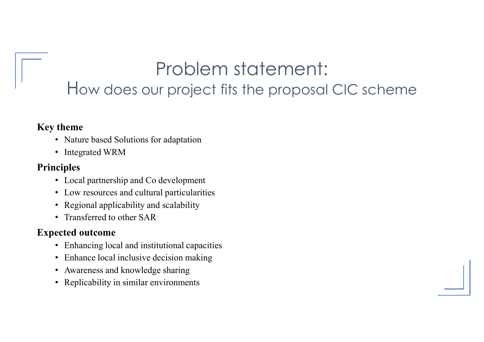### Problem statement: How does our project fits the proposal CIC scheme

#### Key theme

- Nature based Solutions for adaptation
- Integrated WRM

#### Principles

- Local partnership and Co development
- Low resources and cultural particularities
- Regional applicability and scalability
- Transferred to other SAR

### Expected outcome

- Enhancing local and institutional capacities
- Enhance local inclusive decision making
- Awareness and knowledge sharing
- Replicability in similar environments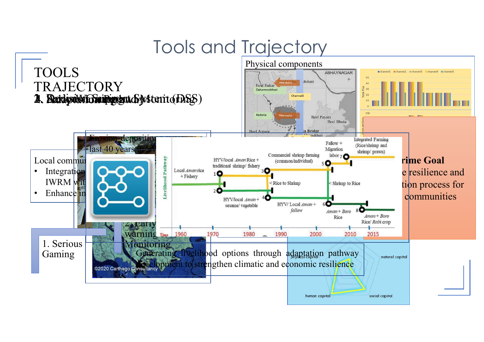